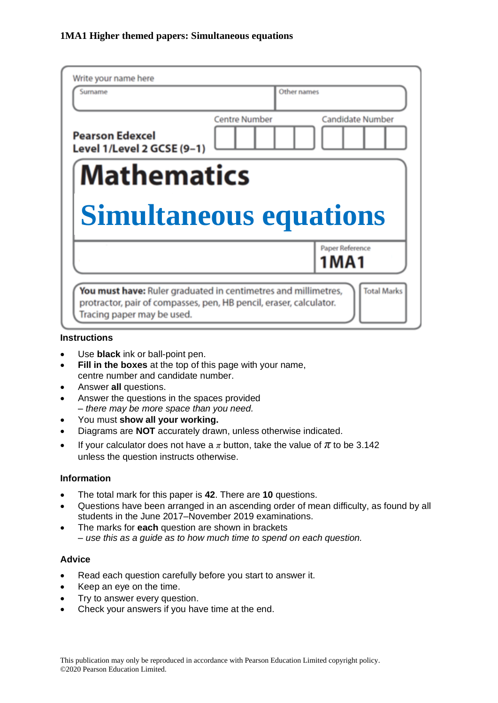| Write your name here                                 |                      |                                |
|------------------------------------------------------|----------------------|--------------------------------|
| Surname                                              |                      | Other names                    |
| <b>Pearson Edexcel</b><br>Level 1/Level 2 GCSE (9-1) | <b>Centre Number</b> | <b>Candidate Number</b>        |
| <b>Mathematics</b>                                   |                      |                                |
|                                                      |                      |                                |
| <b>Simultaneous equations</b>                        |                      |                                |
|                                                      |                      | Paper Reference<br><b>1MA1</b> |

#### **Instructions**

- Use **black** ink or ball-point pen.
- **Fill in the boxes** at the top of this page with your name, centre number and candidate number.
- Answer **all** questions.
- Answer the questions in the spaces provided *– there may be more space than you need.*
- You must **show all your working.**
- Diagrams are **NOT** accurately drawn, unless otherwise indicated.
- If your calculator does not have a  $\pi$  button, take the value of  $\pi$  to be 3.142 unless the question instructs otherwise.

#### **Information**

- The total mark for this paper is **42**. There are **10** questions.
- Questions have been arranged in an ascending order of mean difficulty, as found by all students in the June 2017–November 2019 examinations.
- The marks for **each** question are shown in brackets *– use this as a guide as to how much time to spend on each question.*

#### **Advice**

- Read each question carefully before you start to answer it.
- Keep an eye on the time.
- Try to answer every question.
- Check your answers if you have time at the end.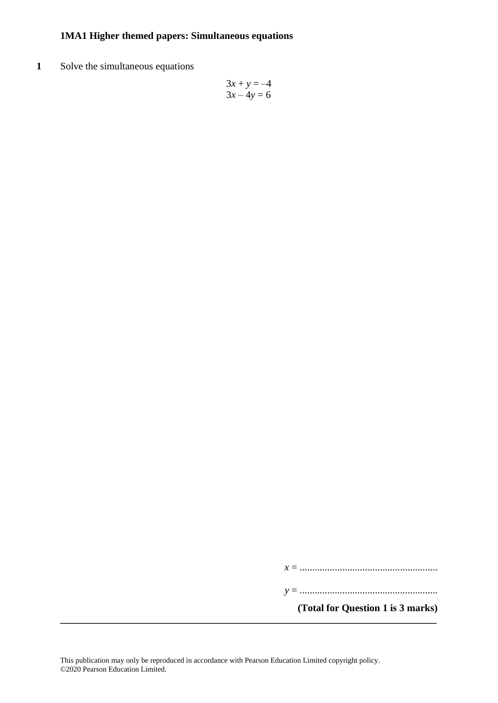**1** Solve the simultaneous equations

$$
3x + y = -4
$$

$$
3x - 4y = 6
$$

*x* = .......................................................

*y* = .......................................................

**(Total for Question 1 is 3 marks)**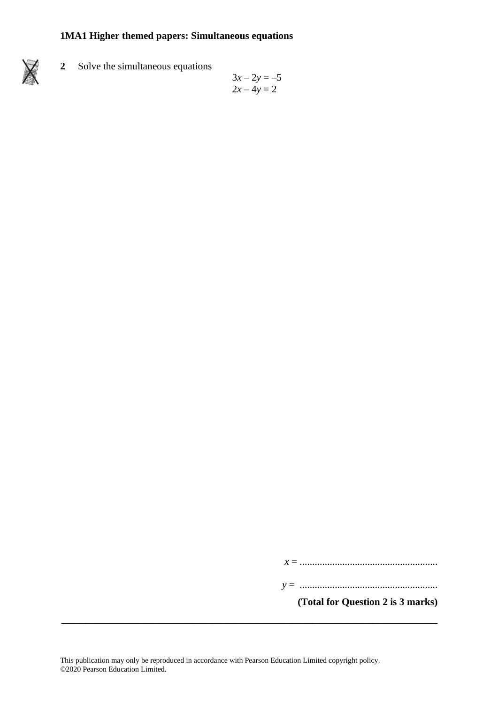**2** Solve the simultaneous equations

$$
3x - 2y = -5
$$
  

$$
2x - 4y = 2
$$

*x* = .......................................................

*y* = .......................................................

**(Total for Question 2 is 3 marks)**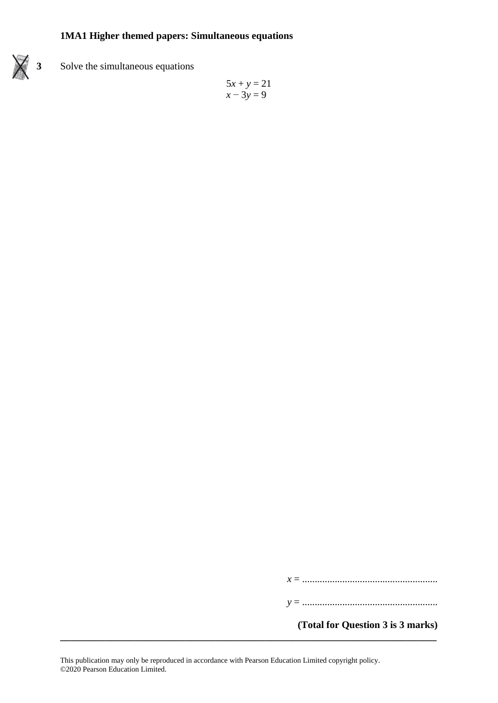

**3** Solve the simultaneous equations

$$
5x + y = 21
$$

$$
x - 3y = 9
$$

*x* = ......................................................

*y* = ......................................................

**(Total for Question 3 is 3 marks)**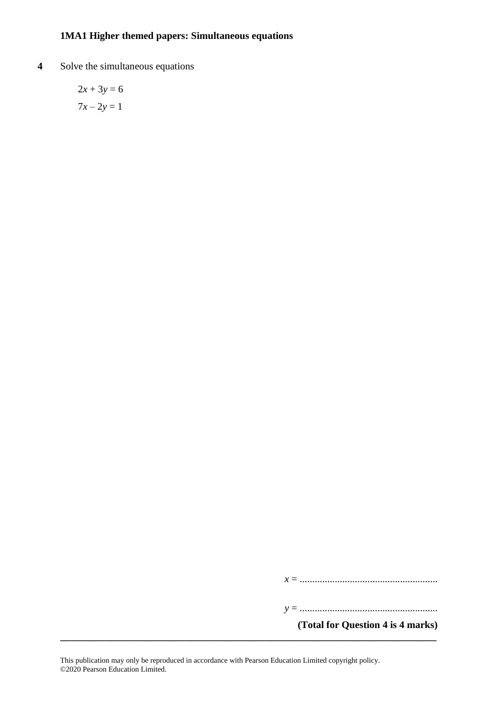**4** Solve the simultaneous equations

 $2x + 3y = 6$  $7x - 2y = 1$ 

*x* = .......................................................

*y* = .......................................................

**(Total for Question 4 is 4 marks)**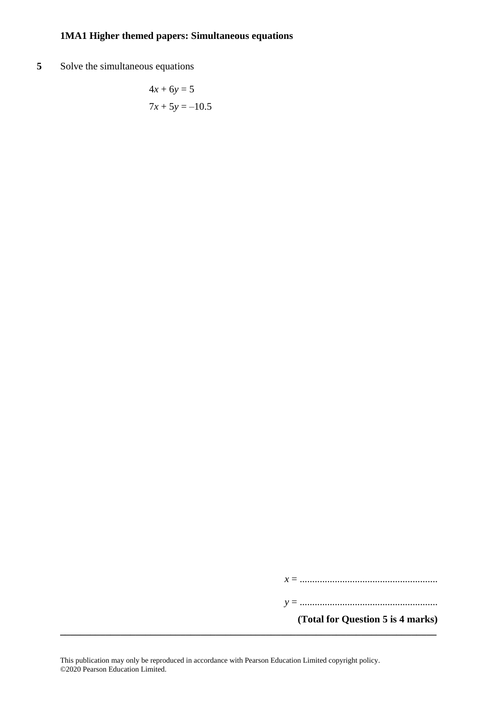**5** Solve the simultaneous equations

$$
4x + 6y = 5
$$

$$
7x + 5y = -10.5
$$

*x* = .......................................................

*y* = .......................................................

**(Total for Question 5 is 4 marks)**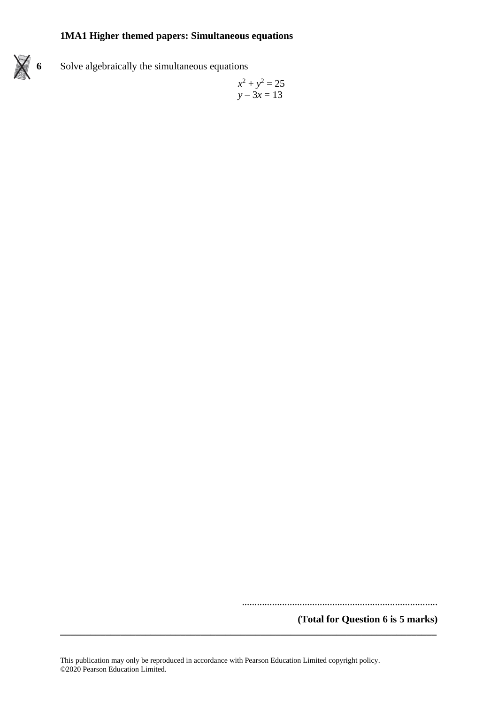

**6** Solve algebraically the simultaneous equations

$$
x^2 + y^2 = 25
$$

$$
y - 3x = 13
$$

..............................................................................

**(Total for Question 6 is 5 marks)**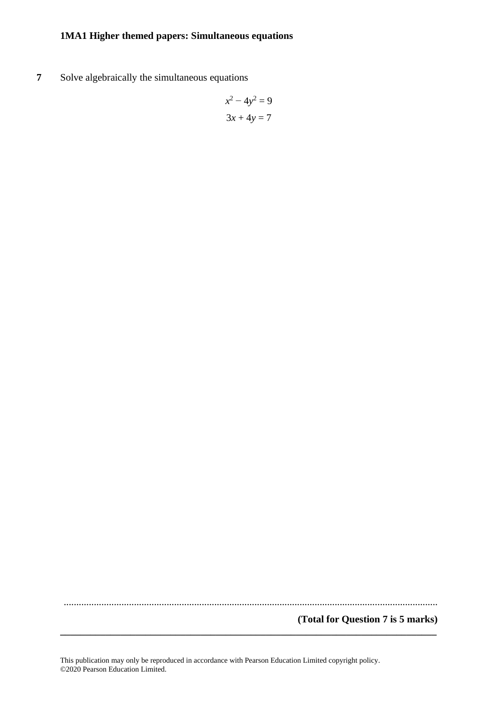**7** Solve algebraically the simultaneous equations

$$
x^2 - 4y^2 = 9
$$

$$
3x + 4y = 7
$$

.....................................................................................................................................................

**\_\_\_\_\_\_\_\_\_\_\_\_\_\_\_\_\_\_\_\_\_\_\_\_\_\_\_\_\_\_\_\_\_\_\_\_\_\_\_\_\_\_\_\_\_\_\_\_\_\_\_\_\_\_\_\_\_\_\_\_\_\_\_\_\_\_\_\_\_\_\_\_\_\_\_**

#### **(Total for Question 7 is 5 marks)**

This publication may only be reproduced in accordance with Pearson Education Limited copyright policy. ©2020 Pearson Education Limited.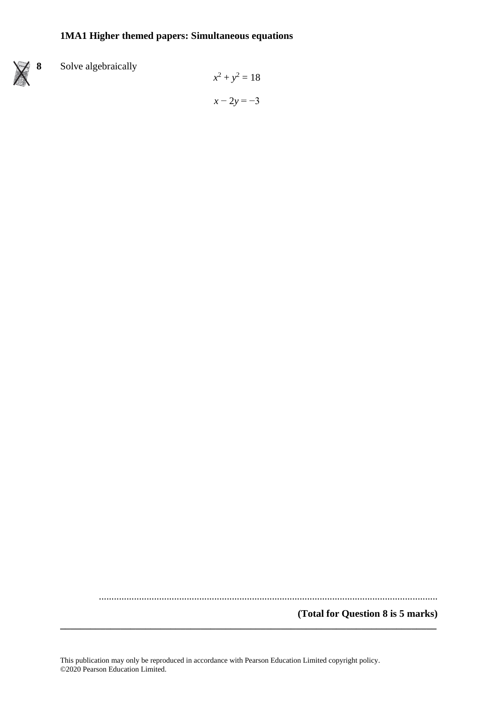

# **8** Solve algebraically

$$
x2 + y2 = 18
$$

$$
x - 2y = -3
$$

.......................................................................................................................................

**\_\_\_\_\_\_\_\_\_\_\_\_\_\_\_\_\_\_\_\_\_\_\_\_\_\_\_\_\_\_\_\_\_\_\_\_\_\_\_\_\_\_\_\_\_\_\_\_\_\_\_\_\_\_\_\_\_\_\_\_\_\_\_\_\_\_\_\_\_\_\_\_\_\_\_**

**(Total for Question 8 is 5 marks)**

This publication may only be reproduced in accordance with Pearson Education Limited copyright policy. ©2020 Pearson Education Limited.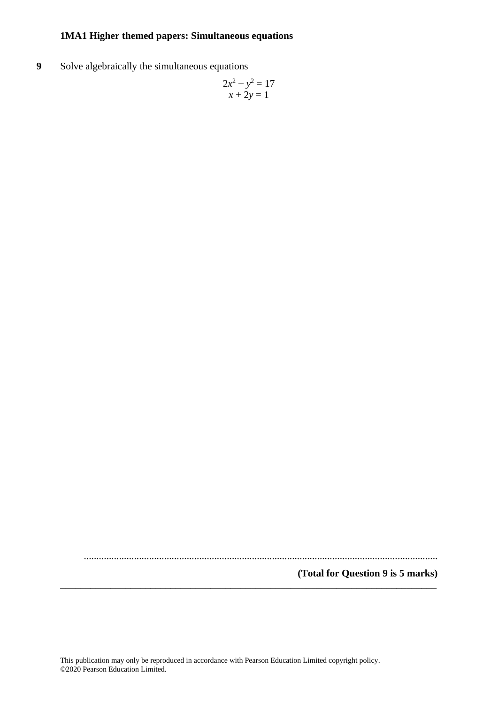**9** Solve algebraically the simultaneous equations

$$
2x^2 - y^2 = 17
$$

$$
x + 2y = 1
$$

.............................................................................................................................................

**(Total for Question 9 is 5 marks) \_\_\_\_\_\_\_\_\_\_\_\_\_\_\_\_\_\_\_\_\_\_\_\_\_\_\_\_\_\_\_\_\_\_\_\_\_\_\_\_\_\_\_\_\_\_\_\_\_\_\_\_\_\_\_\_\_\_\_\_\_\_\_\_\_\_\_\_\_\_\_\_\_\_\_**